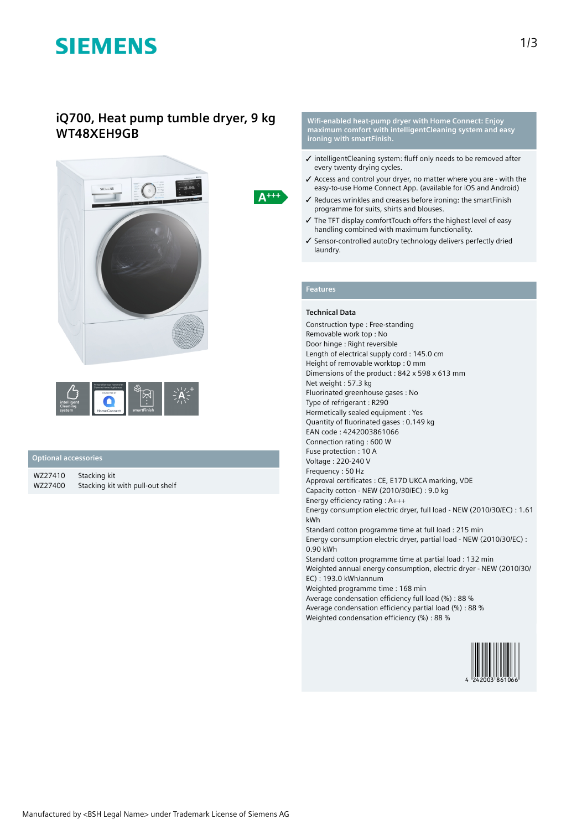# **SIEMENS**

## **iQ700, Heat pump tumble dryer, 9 kg WT48XEH9GB**



### **Optional accessories**

| WZ27410 | Stacking kit                     |
|---------|----------------------------------|
| WZ27400 | Stacking kit with pull-out shelf |

**Wifi-enabled heat-pump dryer with Home Connect: Enjoy maximum comfort with intelligentCleaning system and easy ironing with smartFinish.**

- ✓ intelligentCleaning system: fluff only needs to be removed after every twenty drying cycles.
- ✓ Access and control your dryer, no matter where you are with the easy-to-use Home Connect App. (available for iOS and Android)
- ✓ Reduces wrinkles and creases before ironing: the smartFinish programme for suits, shirts and blouses.
- ✓ The TFT display comfortTouch offers the highest level of easy handling combined with maximum functionality.
- ✓ Sensor-controlled autoDry technology delivers perfectly dried laundry.

### **Features**

 $A^{+++}$ 

#### **Technical Data**

Construction type : Free-standing Removable work top : No Door hinge : Right reversible Length of electrical supply cord : 145.0 cm Height of removable worktop : 0 mm Dimensions of the product : 842 x 598 x 613 mm Net weight : 57.3 kg Fluorinated greenhouse gases : No Type of refrigerant : R290 Hermetically sealed equipment : Yes Quantity of fluorinated gases : 0.149 kg EAN code : 4242003861066 Connection rating : 600 W Fuse protection : 10 A Voltage : 220-240 V Frequency : 50 Hz Approval certificates : CE, E17D UKCA marking, VDE Capacity cotton - NEW (2010/30/EC) : 9.0 kg Energy efficiency rating : A+++ Energy consumption electric dryer, full load - NEW (2010/30/EC) : 1.61 kWh Standard cotton programme time at full load : 215 min Energy consumption electric dryer, partial load - NEW (2010/30/EC) : 0.90 kWh Standard cotton programme time at partial load : 132 min Weighted annual energy consumption, electric dryer - NEW (2010/30/ EC) : 193.0 kWh/annum Weighted programme time : 168 min Average condensation efficiency full load (%) : 88 % Average condensation efficiency partial load (%) : 88 % Weighted condensation efficiency (%) : 88 %

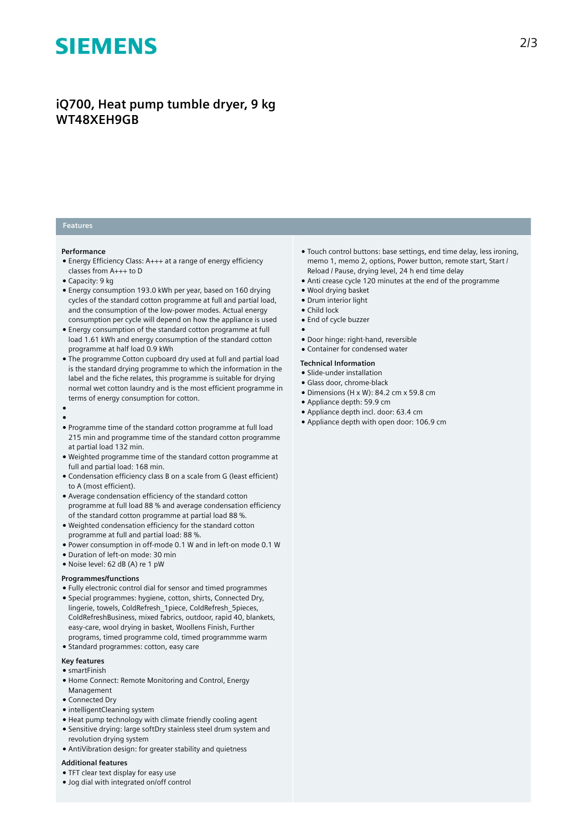# **SIEMENS**

## **iQ700, Heat pump tumble dryer, 9 kg WT48XEH9GB**

### **Features**

#### **Performance**

- Energy Efficiency Class: A+++ at a range of energy efficiency classes from A+++ to D
- Capacity: 9 kg
- Energy consumption 193.0 kWh per year, based on 160 drying cycles of the standard cotton programme at full and partial load, and the consumption of the low-power modes. Actual energy consumption per cycle will depend on how the appliance is used
- Energy consumption of the standard cotton programme at full load 1.61 kWh and energy consumption of the standard cotton programme at half load 0.9 kWh
- The programme Cotton cupboard dry used at full and partial load is the standard drying programme to which the information in the label and the fiche relates, this programme is suitable for drying normal wet cotton laundry and is the most efficient programme in terms of energy consumption for cotton.

#### ● ●

- Programme time of the standard cotton programme at full load 215 min and programme time of the standard cotton programme at partial load 132 min.
- Weighted programme time of the standard cotton programme at full and partial load: 168 min.
- Condensation efficiency class B on a scale from G (least efficient) to A (most efficient).
- Average condensation efficiency of the standard cotton programme at full load 88 % and average condensation efficiency of the standard cotton programme at partial load 88 %.
- Weighted condensation efficiency for the standard cotton programme at full and partial load: 88 %.
- Power consumption in off-mode 0.1 W and in left-on mode 0.1 W
- Duration of left-on mode: 30 min
- Noise level: 62 dB (A) re 1 pW

#### **Programmes/functions**

- Fully electronic control dial for sensor and timed programmes
- Special programmes: hygiene, cotton, shirts, Connected Dry, lingerie, towels, ColdRefresh\_1piece, ColdRefresh\_5pieces, ColdRefreshBusiness, mixed fabrics, outdoor, rapid 40, blankets, easy-care, wool drying in basket, Woollens Finish, Further
- programs, timed programme cold, timed programmme warm
- Standard programmes: cotton, easy care

#### **Key features**

- smartFinish
- Home Connect: Remote Monitoring and Control, Energy Management
- Connected Dry
- intelligentCleaning system
- Heat pump technology with climate friendly cooling agent
- Sensitive drying: large softDry stainless steel drum system and revolution drying system
- AntiVibration design: for greater stability and quietness

#### **Additional features**

- TFT clear text display for easy use
- Jog dial with integrated on/off control
- Touch control buttons: base settings, end time delay, less ironing, memo 1, memo 2, options, Power button, remote start, Start / Reload / Pause, drying level, 24 h end time delay
- Anti crease cycle 120 minutes at the end of the programme
- Wool drying basket
- Drum interior light
- Child lock
	- End of cycle buzzer
	- ●
	- Door hinge: right-hand, reversible
	- Container for condensed water

#### **Technical Information**

- Slide-under installation
- Glass door, chrome-black
- Dimensions (H x W): 84.2 cm x 59.8 cm
- Appliance depth: 59.9 cm
- Appliance depth incl. door: 63.4 cm
- Appliance depth with open door: 106.9 cm